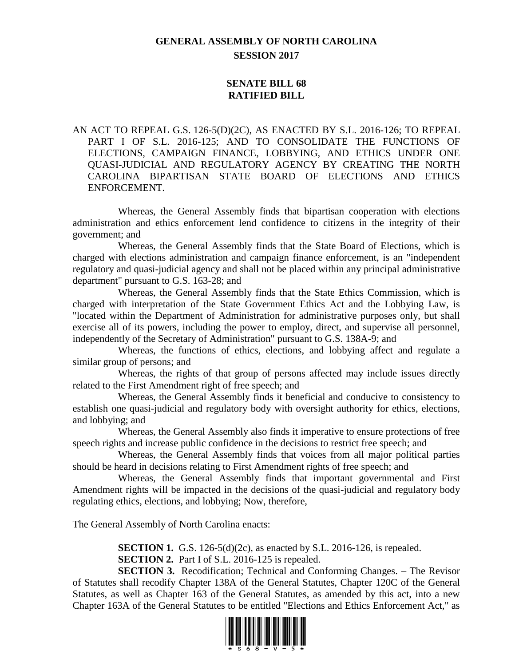# **GENERAL ASSEMBLY OF NORTH CAROLINA SESSION 2017**

## **SENATE BILL 68 RATIFIED BILL**

AN ACT TO REPEAL G.S. 126-5(D)(2C), AS ENACTED BY S.L. 2016-126; TO REPEAL PART I OF S.L. 2016-125; AND TO CONSOLIDATE THE FUNCTIONS OF ELECTIONS, CAMPAIGN FINANCE, LOBBYING, AND ETHICS UNDER ONE QUASI-JUDICIAL AND REGULATORY AGENCY BY CREATING THE NORTH CAROLINA BIPARTISAN STATE BOARD OF ELECTIONS AND ETHICS ENFORCEMENT.

Whereas, the General Assembly finds that bipartisan cooperation with elections administration and ethics enforcement lend confidence to citizens in the integrity of their government; and

Whereas, the General Assembly finds that the State Board of Elections, which is charged with elections administration and campaign finance enforcement, is an "independent regulatory and quasi-judicial agency and shall not be placed within any principal administrative department" pursuant to G.S. 163-28; and

Whereas, the General Assembly finds that the State Ethics Commission, which is charged with interpretation of the State Government Ethics Act and the Lobbying Law, is "located within the Department of Administration for administrative purposes only, but shall exercise all of its powers, including the power to employ, direct, and supervise all personnel, independently of the Secretary of Administration" pursuant to G.S. 138A-9; and

Whereas, the functions of ethics, elections, and lobbying affect and regulate a similar group of persons; and

Whereas, the rights of that group of persons affected may include issues directly related to the First Amendment right of free speech; and

Whereas, the General Assembly finds it beneficial and conducive to consistency to establish one quasi-judicial and regulatory body with oversight authority for ethics, elections, and lobbying; and

Whereas, the General Assembly also finds it imperative to ensure protections of free speech rights and increase public confidence in the decisions to restrict free speech; and

Whereas, the General Assembly finds that voices from all major political parties should be heard in decisions relating to First Amendment rights of free speech; and

Whereas, the General Assembly finds that important governmental and First Amendment rights will be impacted in the decisions of the quasi-judicial and regulatory body regulating ethics, elections, and lobbying; Now, therefore,

The General Assembly of North Carolina enacts:

**SECTION 1.** G.S. 126-5(d)(2c), as enacted by S.L. 2016-126, is repealed. **SECTION 2.** Part I of S.L. 2016-125 is repealed.

**SECTION 3.** Recodification; Technical and Conforming Changes. – The Revisor of Statutes shall recodify Chapter 138A of the General Statutes, Chapter 120C of the General Statutes, as well as Chapter 163 of the General Statutes, as amended by this act, into a new Chapter 163A of the General Statutes to be entitled "Elections and Ethics Enforcement Act," as

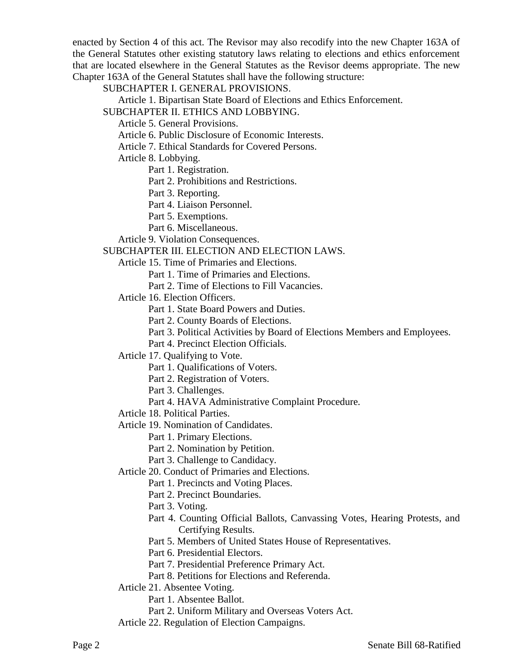enacted by Section 4 of this act. The Revisor may also recodify into the new Chapter 163A of the General Statutes other existing statutory laws relating to elections and ethics enforcement that are located elsewhere in the General Statutes as the Revisor deems appropriate. The new Chapter 163A of the General Statutes shall have the following structure:

SUBCHAPTER I. GENERAL PROVISIONS.

Article 1. Bipartisan State Board of Elections and Ethics Enforcement.

SUBCHAPTER II. ETHICS AND LOBBYING.

Article 5. General Provisions.

Article 6. Public Disclosure of Economic Interests.

Article 7. Ethical Standards for Covered Persons.

Article 8. Lobbying.

Part 1. Registration.

Part 2. Prohibitions and Restrictions.

Part 3. Reporting.

Part 4. Liaison Personnel.

Part 5. Exemptions.

Part 6. Miscellaneous.

Article 9. Violation Consequences.

SUBCHAPTER III. ELECTION AND ELECTION LAWS.

Article 15. Time of Primaries and Elections.

Part 1. Time of Primaries and Elections.

Part 2. Time of Elections to Fill Vacancies.

Article 16. Election Officers.

Part 1. State Board Powers and Duties.

Part 2. County Boards of Elections.

Part 3. Political Activities by Board of Elections Members and Employees.

Part 4. Precinct Election Officials.

Article 17. Qualifying to Vote.

Part 1. Qualifications of Voters.

Part 2. Registration of Voters.

Part 3. Challenges.

Part 4. HAVA Administrative Complaint Procedure.

Article 18. Political Parties.

Article 19. Nomination of Candidates.

Part 1. Primary Elections.

Part 2. Nomination by Petition.

Part 3. Challenge to Candidacy.

Article 20. Conduct of Primaries and Elections.

Part 1. Precincts and Voting Places.

Part 2. Precinct Boundaries.

Part 3. Voting.

Part 4. Counting Official Ballots, Canvassing Votes, Hearing Protests, and Certifying Results.

Part 5. Members of United States House of Representatives.

Part 6. Presidential Electors.

Part 7. Presidential Preference Primary Act.

Part 8. Petitions for Elections and Referenda.

Article 21. Absentee Voting.

Part 1. Absentee Ballot.

Part 2. Uniform Military and Overseas Voters Act.

Article 22. Regulation of Election Campaigns.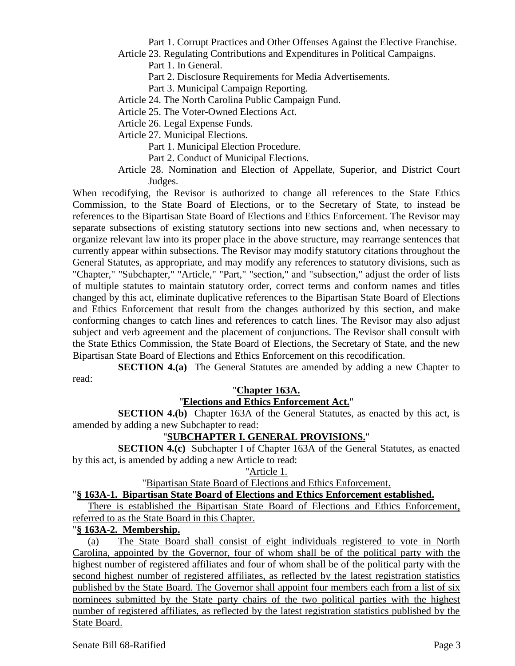Part 1. Corrupt Practices and Other Offenses Against the Elective Franchise. Article 23. Regulating Contributions and Expenditures in Political Campaigns.

Part 1. In General.

Part 2. Disclosure Requirements for Media Advertisements.

Part 3. Municipal Campaign Reporting.

Article 24. The North Carolina Public Campaign Fund.

Article 25. The Voter-Owned Elections Act.

Article 26. Legal Expense Funds.

Article 27. Municipal Elections.

Part 1. Municipal Election Procedure.

Part 2. Conduct of Municipal Elections.

Article 28. Nomination and Election of Appellate, Superior, and District Court Judges.

When recodifying, the Revisor is authorized to change all references to the State Ethics Commission, to the State Board of Elections, or to the Secretary of State, to instead be references to the Bipartisan State Board of Elections and Ethics Enforcement. The Revisor may separate subsections of existing statutory sections into new sections and, when necessary to organize relevant law into its proper place in the above structure, may rearrange sentences that currently appear within subsections. The Revisor may modify statutory citations throughout the General Statutes, as appropriate, and may modify any references to statutory divisions, such as "Chapter," "Subchapter," "Article," "Part," "section," and "subsection," adjust the order of lists of multiple statutes to maintain statutory order, correct terms and conform names and titles changed by this act, eliminate duplicative references to the Bipartisan State Board of Elections and Ethics Enforcement that result from the changes authorized by this section, and make conforming changes to catch lines and references to catch lines. The Revisor may also adjust subject and verb agreement and the placement of conjunctions. The Revisor shall consult with the State Ethics Commission, the State Board of Elections, the Secretary of State, and the new Bipartisan State Board of Elections and Ethics Enforcement on this recodification.

**SECTION 4.(a)** The General Statutes are amended by adding a new Chapter to read:

## "**Chapter 163A.**

## "**Elections and Ethics Enforcement Act.**"

**SECTION 4.(b)** Chapter 163A of the General Statutes, as enacted by this act, is amended by adding a new Subchapter to read:

# "**SUBCHAPTER I. GENERAL PROVISIONS.**"

**SECTION 4.(c)** Subchapter I of Chapter 163A of the General Statutes, as enacted by this act, is amended by adding a new Article to read:

## "Article 1.

"Bipartisan State Board of Elections and Ethics Enforcement.

## "**§ 163A-1. Bipartisan State Board of Elections and Ethics Enforcement established.**

There is established the Bipartisan State Board of Elections and Ethics Enforcement, referred to as the State Board in this Chapter.

## "**§ 163A-2. Membership.**

(a) The State Board shall consist of eight individuals registered to vote in North Carolina, appointed by the Governor, four of whom shall be of the political party with the highest number of registered affiliates and four of whom shall be of the political party with the second highest number of registered affiliates, as reflected by the latest registration statistics published by the State Board. The Governor shall appoint four members each from a list of six nominees submitted by the State party chairs of the two political parties with the highest number of registered affiliates, as reflected by the latest registration statistics published by the State Board.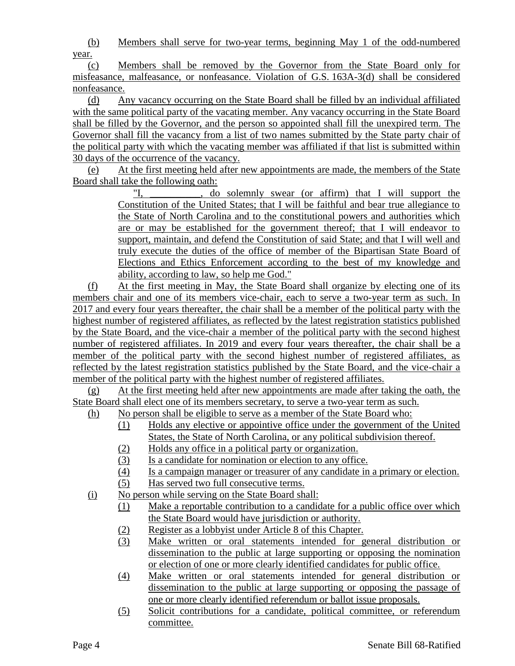(b) Members shall serve for two-year terms, beginning May 1 of the odd-numbered year.

(c) Members shall be removed by the Governor from the State Board only for misfeasance, malfeasance, or nonfeasance. Violation of G.S. 163A-3(d) shall be considered nonfeasance.

(d) Any vacancy occurring on the State Board shall be filled by an individual affiliated with the same political party of the vacating member. Any vacancy occurring in the State Board shall be filled by the Governor, and the person so appointed shall fill the unexpired term. The Governor shall fill the vacancy from a list of two names submitted by the State party chair of the political party with which the vacating member was affiliated if that list is submitted within 30 days of the occurrence of the vacancy.

(e) At the first meeting held after new appointments are made, the members of the State Board shall take the following oath:

> "I, \_\_\_\_\_\_\_\_\_\_, do solemnly swear (or affirm) that I will support the Constitution of the United States; that I will be faithful and bear true allegiance to the State of North Carolina and to the constitutional powers and authorities which are or may be established for the government thereof; that I will endeavor to support, maintain, and defend the Constitution of said State; and that I will well and truly execute the duties of the office of member of the Bipartisan State Board of Elections and Ethics Enforcement according to the best of my knowledge and ability, according to law, so help me God."

(f) At the first meeting in May, the State Board shall organize by electing one of its members chair and one of its members vice-chair, each to serve a two-year term as such. In 2017 and every four years thereafter, the chair shall be a member of the political party with the highest number of registered affiliates, as reflected by the latest registration statistics published by the State Board, and the vice-chair a member of the political party with the second highest number of registered affiliates. In 2019 and every four years thereafter, the chair shall be a member of the political party with the second highest number of registered affiliates, as reflected by the latest registration statistics published by the State Board, and the vice-chair a member of the political party with the highest number of registered affiliates.

(g) At the first meeting held after new appointments are made after taking the oath, the State Board shall elect one of its members secretary, to serve a two-year term as such.

- (h) No person shall be eligible to serve as a member of the State Board who:
	- (1) Holds any elective or appointive office under the government of the United States, the State of North Carolina, or any political subdivision thereof.
	- (2) Holds any office in a political party or organization.
	- (3) Is a candidate for nomination or election to any office.
	- (4) Is a campaign manager or treasurer of any candidate in a primary or election.
	- (5) Has served two full consecutive terms.
- (i) No person while serving on the State Board shall:
	- (1) Make a reportable contribution to a candidate for a public office over which the State Board would have jurisdiction or authority.
	- (2) Register as a lobbyist under Article 8 of this Chapter.
	- (3) Make written or oral statements intended for general distribution or dissemination to the public at large supporting or opposing the nomination or election of one or more clearly identified candidates for public office.
	- (4) Make written or oral statements intended for general distribution or dissemination to the public at large supporting or opposing the passage of one or more clearly identified referendum or ballot issue proposals.
	- (5) Solicit contributions for a candidate, political committee, or referendum committee.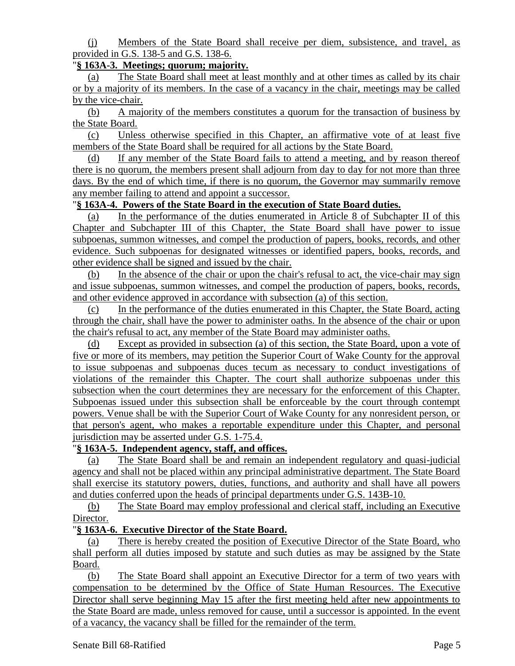(j) Members of the State Board shall receive per diem, subsistence, and travel, as provided in G.S. 138-5 and G.S. 138-6.

## "**§ 163A-3. Meetings; quorum; majority.**

(a) The State Board shall meet at least monthly and at other times as called by its chair or by a majority of its members. In the case of a vacancy in the chair, meetings may be called by the vice-chair.

(b) A majority of the members constitutes a quorum for the transaction of business by the State Board.

(c) Unless otherwise specified in this Chapter, an affirmative vote of at least five members of the State Board shall be required for all actions by the State Board.

(d) If any member of the State Board fails to attend a meeting, and by reason thereof there is no quorum, the members present shall adjourn from day to day for not more than three days. By the end of which time, if there is no quorum, the Governor may summarily remove any member failing to attend and appoint a successor.

# "**§ 163A-4. Powers of the State Board in the execution of State Board duties.**

(a) In the performance of the duties enumerated in Article 8 of Subchapter II of this Chapter and Subchapter III of this Chapter, the State Board shall have power to issue subpoenas, summon witnesses, and compel the production of papers, books, records, and other evidence. Such subpoenas for designated witnesses or identified papers, books, records, and other evidence shall be signed and issued by the chair.

(b) In the absence of the chair or upon the chair's refusal to act, the vice-chair may sign and issue subpoenas, summon witnesses, and compel the production of papers, books, records, and other evidence approved in accordance with subsection (a) of this section.

(c) In the performance of the duties enumerated in this Chapter, the State Board, acting through the chair, shall have the power to administer oaths. In the absence of the chair or upon the chair's refusal to act, any member of the State Board may administer oaths.

(d) Except as provided in subsection (a) of this section, the State Board, upon a vote of five or more of its members, may petition the Superior Court of Wake County for the approval to issue subpoenas and subpoenas duces tecum as necessary to conduct investigations of violations of the remainder this Chapter. The court shall authorize subpoenas under this subsection when the court determines they are necessary for the enforcement of this Chapter. Subpoenas issued under this subsection shall be enforceable by the court through contempt powers. Venue shall be with the Superior Court of Wake County for any nonresident person, or that person's agent, who makes a reportable expenditure under this Chapter, and personal jurisdiction may be asserted under G.S. 1-75.4.

## "**§ 163A-5. Independent agency, staff, and offices.**

(a) The State Board shall be and remain an independent regulatory and quasi-judicial agency and shall not be placed within any principal administrative department. The State Board shall exercise its statutory powers, duties, functions, and authority and shall have all powers and duties conferred upon the heads of principal departments under G.S. 143B-10.

(b) The State Board may employ professional and clerical staff, including an Executive Director.

## "**§ 163A-6. Executive Director of the State Board.**

(a) There is hereby created the position of Executive Director of the State Board, who shall perform all duties imposed by statute and such duties as may be assigned by the State Board.

(b) The State Board shall appoint an Executive Director for a term of two years with compensation to be determined by the Office of State Human Resources. The Executive Director shall serve beginning May 15 after the first meeting held after new appointments to the State Board are made, unless removed for cause, until a successor is appointed. In the event of a vacancy, the vacancy shall be filled for the remainder of the term.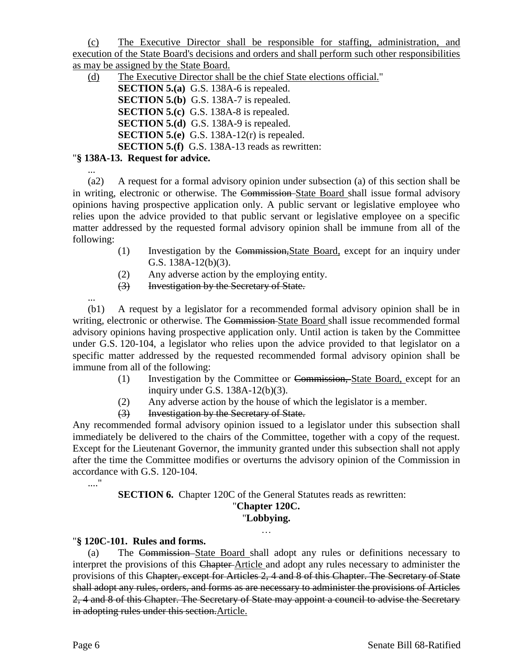(c) The Executive Director shall be responsible for staffing, administration, and execution of the State Board's decisions and orders and shall perform such other responsibilities as may be assigned by the State Board.

(d) The Executive Director shall be the chief State elections official."

**SECTION 5.(a)** G.S. 138A-6 is repealed. **SECTION 5.(b)** G.S. 138A-7 is repealed. **SECTION 5.(c)** G.S. 138A-8 is repealed. **SECTION 5.(d)** G.S. 138A-9 is repealed. **SECTION 5.(e)** G.S. 138A-12(r) is repealed. **SECTION 5.(f)** G.S. 138A-13 reads as rewritten:

# "**§ 138A-13. Request for advice.**

... (a2) A request for a formal advisory opinion under subsection (a) of this section shall be in writing, electronic or otherwise. The Commission State Board shall issue formal advisory opinions having prospective application only. A public servant or legislative employee who relies upon the advice provided to that public servant or legislative employee on a specific matter addressed by the requested formal advisory opinion shall be immune from all of the following:

- (1) Investigation by the Commission,State Board, except for an inquiry under G.S. 138A-12(b)(3).
- (2) Any adverse action by the employing entity.
- (3) Investigation by the Secretary of State.

(b1) A request by a legislator for a recommended formal advisory opinion shall be in writing, electronic or otherwise. The Commission State Board shall issue recommended formal advisory opinions having prospective application only. Until action is taken by the Committee under G.S. 120-104, a legislator who relies upon the advice provided to that legislator on a specific matter addressed by the requested recommended formal advisory opinion shall be immune from all of the following:

- (1) Investigation by the Committee or Commission, State Board, except for an inquiry under G.S. 138A-12(b)(3).
- (2) Any adverse action by the house of which the legislator is a member.
- (3) Investigation by the Secretary of State.

Any recommended formal advisory opinion issued to a legislator under this subsection shall immediately be delivered to the chairs of the Committee, together with a copy of the request. Except for the Lieutenant Governor, the immunity granted under this subsection shall not apply after the time the Committee modifies or overturns the advisory opinion of the Commission in accordance with G.S. 120-104.

> **SECTION 6.** Chapter 120C of the General Statutes reads as rewritten: "**Chapter 120C.**

## "**Lobbying.**

## "**§ 120C-101. Rules and forms.**

(a) The Commission State Board shall adopt any rules or definitions necessary to interpret the provisions of this Chapter Article and adopt any rules necessary to administer the provisions of this Chapter, except for Articles 2, 4 and 8 of this Chapter. The Secretary of State shall adopt any rules, orders, and forms as are necessary to administer the provisions of Articles 2, 4 and 8 of this Chapter. The Secretary of State may appoint a council to advise the Secretary in adopting rules under this section. Article.

...

...."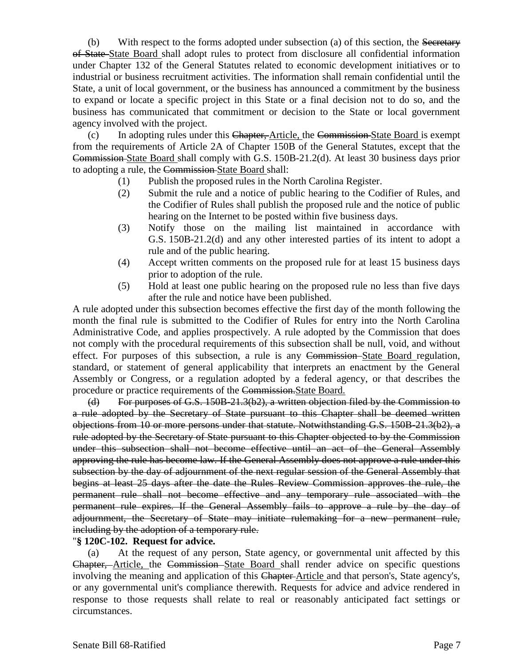(b) With respect to the forms adopted under subsection (a) of this section, the Secretary of State State Board shall adopt rules to protect from disclosure all confidential information under Chapter 132 of the General Statutes related to economic development initiatives or to industrial or business recruitment activities. The information shall remain confidential until the State, a unit of local government, or the business has announced a commitment by the business to expand or locate a specific project in this State or a final decision not to do so, and the business has communicated that commitment or decision to the State or local government agency involved with the project.

(c) In adopting rules under this Chapter, Article, the Commission State Board is exempt from the requirements of Article 2A of Chapter 150B of the General Statutes, except that the Commission State Board shall comply with G.S. 150B-21.2(d). At least 30 business days prior to adopting a rule, the Commission State Board shall:

- (1) Publish the proposed rules in the North Carolina Register.
- (2) Submit the rule and a notice of public hearing to the Codifier of Rules, and the Codifier of Rules shall publish the proposed rule and the notice of public hearing on the Internet to be posted within five business days.
- (3) Notify those on the mailing list maintained in accordance with G.S. 150B-21.2(d) and any other interested parties of its intent to adopt a rule and of the public hearing.
- (4) Accept written comments on the proposed rule for at least 15 business days prior to adoption of the rule.
- (5) Hold at least one public hearing on the proposed rule no less than five days after the rule and notice have been published.

A rule adopted under this subsection becomes effective the first day of the month following the month the final rule is submitted to the Codifier of Rules for entry into the North Carolina Administrative Code, and applies prospectively. A rule adopted by the Commission that does not comply with the procedural requirements of this subsection shall be null, void, and without effect. For purposes of this subsection, a rule is any Commission State Board regulation, standard, or statement of general applicability that interprets an enactment by the General Assembly or Congress, or a regulation adopted by a federal agency, or that describes the procedure or practice requirements of the Commission.State Board.

(d) For purposes of G.S. 150B-21.3(b2), a written objection filed by the Commission to a rule adopted by the Secretary of State pursuant to this Chapter shall be deemed written objections from 10 or more persons under that statute. Notwithstanding G.S. 150B-21.3(b2), a rule adopted by the Secretary of State pursuant to this Chapter objected to by the Commission under this subsection shall not become effective until an act of the General Assembly approving the rule has become law. If the General Assembly does not approve a rule under this subsection by the day of adjournment of the next regular session of the General Assembly that begins at least 25 days after the date the Rules Review Commission approves the rule, the permanent rule shall not become effective and any temporary rule associated with the permanent rule expires. If the General Assembly fails to approve a rule by the day of adjournment, the Secretary of State may initiate rulemaking for a new permanent rule, including by the adoption of a temporary rule.

#### "**§ 120C-102. Request for advice.**

(a) At the request of any person, State agency, or governmental unit affected by this Chapter, Article, the Commission State Board shall render advice on specific questions involving the meaning and application of this Chapter-Article and that person's, State agency's, or any governmental unit's compliance therewith. Requests for advice and advice rendered in response to those requests shall relate to real or reasonably anticipated fact settings or circumstances.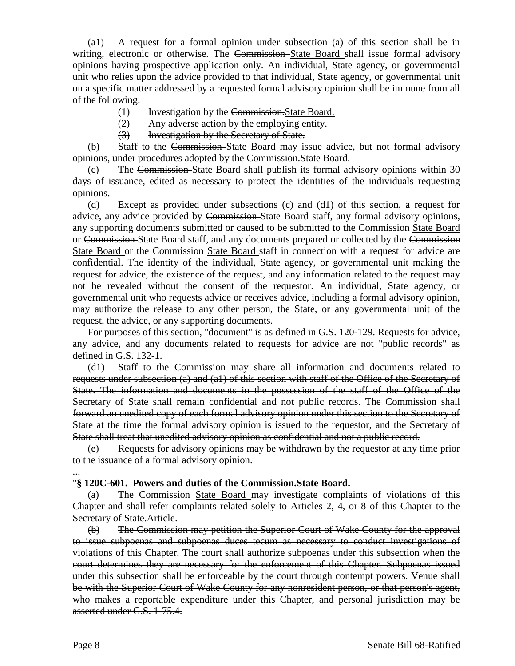(a1) A request for a formal opinion under subsection (a) of this section shall be in writing, electronic or otherwise. The Commission-State Board shall issue formal advisory opinions having prospective application only. An individual, State agency, or governmental unit who relies upon the advice provided to that individual, State agency, or governmental unit on a specific matter addressed by a requested formal advisory opinion shall be immune from all of the following:

- (1) Investigation by the Commission.State Board.
- (2) Any adverse action by the employing entity.
- (3) Investigation by the Secretary of State.

(b) Staff to the Commission State Board may issue advice, but not formal advisory opinions, under procedures adopted by the Commission.State Board.

(c) The Commission State Board shall publish its formal advisory opinions within 30 days of issuance, edited as necessary to protect the identities of the individuals requesting opinions.

(d) Except as provided under subsections (c) and (d1) of this section, a request for advice, any advice provided by Commission State Board staff, any formal advisory opinions, any supporting documents submitted or caused to be submitted to the Commission-State Board or Commission State Board staff, and any documents prepared or collected by the Commission State Board or the Commission State Board staff in connection with a request for advice are confidential. The identity of the individual, State agency, or governmental unit making the request for advice, the existence of the request, and any information related to the request may not be revealed without the consent of the requestor. An individual, State agency, or governmental unit who requests advice or receives advice, including a formal advisory opinion, may authorize the release to any other person, the State, or any governmental unit of the request, the advice, or any supporting documents.

For purposes of this section, "document" is as defined in G.S. 120-129. Requests for advice, any advice, and any documents related to requests for advice are not "public records" as defined in G.S. 132-1.

(d1) Staff to the Commission may share all information and documents related to requests under subsection (a) and (a1) of this section with staff of the Office of the Secretary of State. The information and documents in the possession of the staff of the Office of the Secretary of State shall remain confidential and not public records. The Commission shall forward an unedited copy of each formal advisory opinion under this section to the Secretary of State at the time the formal advisory opinion is issued to the requestor, and the Secretary of State shall treat that unedited advisory opinion as confidential and not a public record.

(e) Requests for advisory opinions may be withdrawn by the requestor at any time prior to the issuance of a formal advisory opinion.

...

## "**§ 120C-601. Powers and duties of the Commission.State Board.**

(a) The Commission State Board may investigate complaints of violations of this Chapter and shall refer complaints related solely to Articles 2, 4, or 8 of this Chapter to the Secretary of State. Article.

(b) The Commission may petition the Superior Court of Wake County for the approval to issue subpoenas and subpoenas duces tecum as necessary to conduct investigations of violations of this Chapter. The court shall authorize subpoenas under this subsection when the court determines they are necessary for the enforcement of this Chapter. Subpoenas issued under this subsection shall be enforceable by the court through contempt powers. Venue shall be with the Superior Court of Wake County for any nonresident person, or that person's agent, who makes a reportable expenditure under this Chapter, and personal jurisdiction may be asserted under G.S. 1-75.4.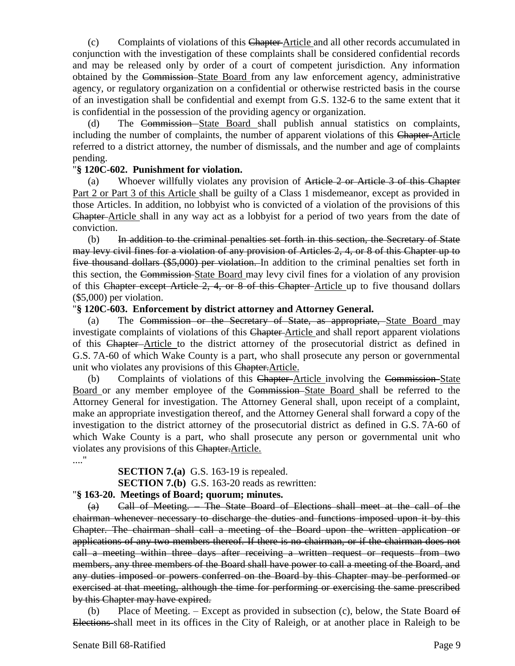(c) Complaints of violations of this Chapter Article and all other records accumulated in conjunction with the investigation of these complaints shall be considered confidential records and may be released only by order of a court of competent jurisdiction. Any information obtained by the Commission State Board from any law enforcement agency, administrative agency, or regulatory organization on a confidential or otherwise restricted basis in the course of an investigation shall be confidential and exempt from G.S. 132-6 to the same extent that it is confidential in the possession of the providing agency or organization.

(d) The Commission State Board shall publish annual statistics on complaints, including the number of complaints, the number of apparent violations of this Chapter-Article referred to a district attorney, the number of dismissals, and the number and age of complaints pending.

## "**§ 120C-602. Punishment for violation.**

(a) Whoever willfully violates any provision of Article 2 or Article 3 of this Chapter Part 2 or Part 3 of this Article shall be guilty of a Class 1 misdemeanor, except as provided in those Articles. In addition, no lobbyist who is convicted of a violation of the provisions of this Chapter Article shall in any way act as a lobbyist for a period of two years from the date of conviction.

(b) In addition to the criminal penalties set forth in this section, the Secretary of State may levy civil fines for a violation of any provision of Articles 2, 4, or 8 of this Chapter up to five thousand dollars (\$5,000) per violation. In addition to the criminal penalties set forth in this section, the Commission State Board may levy civil fines for a violation of any provision of this Chapter except Article 2, 4, or 8 of this Chapter Article up to five thousand dollars (\$5,000) per violation.

#### "**§ 120C-603. Enforcement by district attorney and Attorney General.**

(a) The Commission or the Secretary of State, as appropriate, State Board may investigate complaints of violations of this Chapter Article and shall report apparent violations of this Chapter Article to the district attorney of the prosecutorial district as defined in G.S. 7A-60 of which Wake County is a part, who shall prosecute any person or governmental unit who violates any provisions of this Chapter.Article.

(b) Complaints of violations of this Chapter-Article involving the Commission-State Board or any member employee of the Commission State Board shall be referred to the Attorney General for investigation. The Attorney General shall, upon receipt of a complaint, make an appropriate investigation thereof, and the Attorney General shall forward a copy of the investigation to the district attorney of the prosecutorial district as defined in G.S. 7A-60 of which Wake County is a part, who shall prosecute any person or governmental unit who violates any provisions of this Chapter.Article.

...."

# **SECTION 7.(a)** G.S. 163-19 is repealed.

**SECTION 7.(b)** G.S. 163-20 reads as rewritten:

#### "**§ 163-20. Meetings of Board; quorum; minutes.**

(a) Call of Meeting. – The State Board of Elections shall meet at the call of the chairman whenever necessary to discharge the duties and functions imposed upon it by this Chapter. The chairman shall call a meeting of the Board upon the written application or applications of any two members thereof. If there is no chairman, or if the chairman does not call a meeting within three days after receiving a written request or requests from two members, any three members of the Board shall have power to call a meeting of the Board, and any duties imposed or powers conferred on the Board by this Chapter may be performed or exercised at that meeting, although the time for performing or exercising the same prescribed by this Chapter may have expired.

(b) Place of Meeting. – Except as provided in subsection (c), below, the State Board of Elections shall meet in its offices in the City of Raleigh, or at another place in Raleigh to be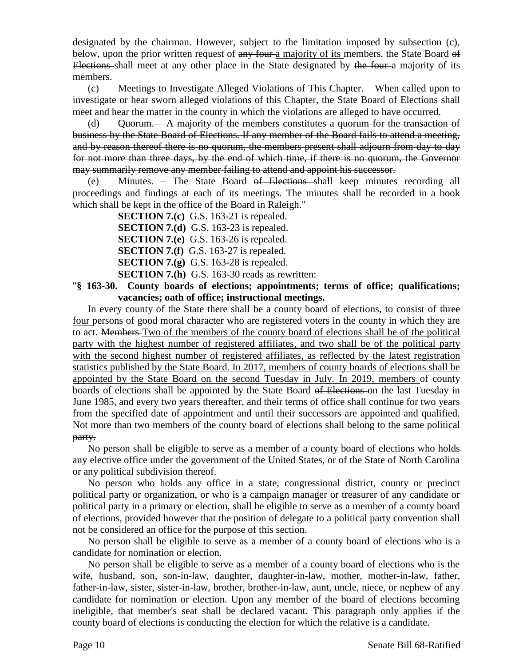designated by the chairman. However, subject to the limitation imposed by subsection (c), below, upon the prior written request of any four-a majority of its members, the State Board of Elections shall meet at any other place in the State designated by the four-a majority of its members.

(c) Meetings to Investigate Alleged Violations of This Chapter. – When called upon to investigate or hear sworn alleged violations of this Chapter, the State Board of Elections shall meet and hear the matter in the county in which the violations are alleged to have occurred.

(d) Quorum. – A majority of the members constitutes a quorum for the transaction of business by the State Board of Elections. If any member of the Board fails to attend a meeting, and by reason thereof there is no quorum, the members present shall adjourn from day to day for not more than three days, by the end of which time, if there is no quorum, the Governor may summarily remove any member failing to attend and appoint his successor.

(e) Minutes. – The State Board of Elections shall keep minutes recording all proceedings and findings at each of its meetings. The minutes shall be recorded in a book which shall be kept in the office of the Board in Raleigh."

**SECTION 7.(c)** G.S. 163-21 is repealed.

**SECTION 7.(d)** G.S. 163-23 is repealed.

**SECTION 7.(e)** G.S. 163-26 is repealed.

**SECTION 7.(f)** G.S. 163-27 is repealed.

**SECTION 7.(g)** G.S. 163-28 is repealed.

**SECTION 7.(h)** G.S. 163-30 reads as rewritten:

## "**§ 163-30. County boards of elections; appointments; terms of office; qualifications; vacancies; oath of office; instructional meetings.**

In every county of the State there shall be a county board of elections, to consist of three four persons of good moral character who are registered voters in the county in which they are to act. Members Two of the members of the county board of elections shall be of the political party with the highest number of registered affiliates, and two shall be of the political party with the second highest number of registered affiliates, as reflected by the latest registration statistics published by the State Board. In 2017, members of county boards of elections shall be appointed by the State Board on the second Tuesday in July. In 2019, members of county boards of elections shall be appointed by the State Board of Elections on the last Tuesday in June 1985, and every two years thereafter, and their terms of office shall continue for two years from the specified date of appointment and until their successors are appointed and qualified. Not more than two members of the county board of elections shall belong to the same political party.

No person shall be eligible to serve as a member of a county board of elections who holds any elective office under the government of the United States, or of the State of North Carolina or any political subdivision thereof.

No person who holds any office in a state, congressional district, county or precinct political party or organization, or who is a campaign manager or treasurer of any candidate or political party in a primary or election, shall be eligible to serve as a member of a county board of elections, provided however that the position of delegate to a political party convention shall not be considered an office for the purpose of this section.

No person shall be eligible to serve as a member of a county board of elections who is a candidate for nomination or election.

No person shall be eligible to serve as a member of a county board of elections who is the wife, husband, son, son-in-law, daughter, daughter-in-law, mother, mother-in-law, father, father-in-law, sister, sister-in-law, brother, brother-in-law, aunt, uncle, niece, or nephew of any candidate for nomination or election. Upon any member of the board of elections becoming ineligible, that member's seat shall be declared vacant. This paragraph only applies if the county board of elections is conducting the election for which the relative is a candidate.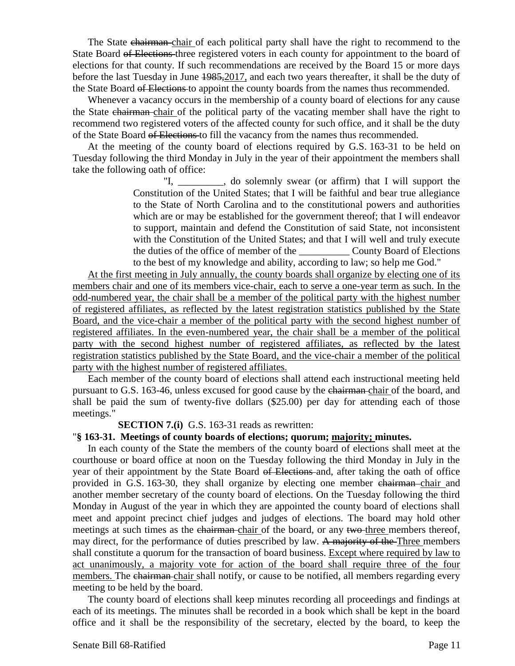The State chairman chair of each political party shall have the right to recommend to the State Board of Elections three registered voters in each county for appointment to the board of elections for that county. If such recommendations are received by the Board 15 or more days before the last Tuesday in June 1985,2017, and each two years thereafter, it shall be the duty of the State Board of Elections to appoint the county boards from the names thus recommended.

Whenever a vacancy occurs in the membership of a county board of elections for any cause the State chairman chair of the political party of the vacating member shall have the right to recommend two registered voters of the affected county for such office, and it shall be the duty of the State Board of Elections to fill the vacancy from the names thus recommended.

At the meeting of the county board of elections required by G.S. 163-31 to be held on Tuesday following the third Monday in July in the year of their appointment the members shall take the following oath of office:

> "I, \_\_\_\_\_\_\_\_\_, do solemnly swear (or affirm) that I will support the Constitution of the United States; that I will be faithful and bear true allegiance to the State of North Carolina and to the constitutional powers and authorities which are or may be established for the government thereof; that I will endeavor to support, maintain and defend the Constitution of said State, not inconsistent with the Constitution of the United States; and that I will well and truly execute the duties of the office of member of the \_\_\_\_\_\_\_\_\_\_ County Board of Elections to the best of my knowledge and ability, according to law; so help me God."

At the first meeting in July annually, the county boards shall organize by electing one of its members chair and one of its members vice-chair, each to serve a one-year term as such. In the odd-numbered year, the chair shall be a member of the political party with the highest number of registered affiliates, as reflected by the latest registration statistics published by the State Board, and the vice-chair a member of the political party with the second highest number of registered affiliates. In the even-numbered year, the chair shall be a member of the political party with the second highest number of registered affiliates, as reflected by the latest registration statistics published by the State Board, and the vice-chair a member of the political party with the highest number of registered affiliates.

Each member of the county board of elections shall attend each instructional meeting held pursuant to G.S. 163-46, unless excused for good cause by the chairman chair of the board, and shall be paid the sum of twenty-five dollars (\$25.00) per day for attending each of those meetings."

#### **SECTION 7.(i)** G.S. 163-31 reads as rewritten:

#### "**§ 163-31. Meetings of county boards of elections; quorum; majority; minutes.**

In each county of the State the members of the county board of elections shall meet at the courthouse or board office at noon on the Tuesday following the third Monday in July in the year of their appointment by the State Board of Elections and, after taking the oath of office provided in G.S. 163-30, they shall organize by electing one member chairman-chair and another member secretary of the county board of elections. On the Tuesday following the third Monday in August of the year in which they are appointed the county board of elections shall meet and appoint precinct chief judges and judges of elections. The board may hold other meetings at such times as the chairman chair of the board, or any two-three members thereof, may direct, for the performance of duties prescribed by law. A majority of the Three members shall constitute a quorum for the transaction of board business. Except where required by law to act unanimously, a majority vote for action of the board shall require three of the four members. The chairman chair shall notify, or cause to be notified, all members regarding every meeting to be held by the board.

The county board of elections shall keep minutes recording all proceedings and findings at each of its meetings. The minutes shall be recorded in a book which shall be kept in the board office and it shall be the responsibility of the secretary, elected by the board, to keep the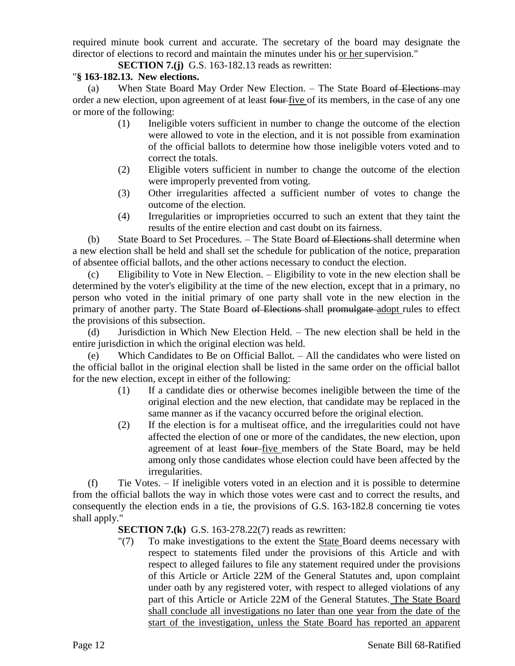required minute book current and accurate. The secretary of the board may designate the director of elections to record and maintain the minutes under his or her supervision."

**SECTION 7.(j)** G.S. 163-182.13 reads as rewritten:

# "**§ 163-182.13. New elections.**

(a) When State Board May Order New Election. – The State Board of Elections may order a new election, upon agreement of at least four five of its members, in the case of any one or more of the following:

- (1) Ineligible voters sufficient in number to change the outcome of the election were allowed to vote in the election, and it is not possible from examination of the official ballots to determine how those ineligible voters voted and to correct the totals.
- (2) Eligible voters sufficient in number to change the outcome of the election were improperly prevented from voting.
- (3) Other irregularities affected a sufficient number of votes to change the outcome of the election.
- (4) Irregularities or improprieties occurred to such an extent that they taint the results of the entire election and cast doubt on its fairness.

(b) State Board to Set Procedures.  $-$  The State Board  $\theta$  Elections shall determine when a new election shall be held and shall set the schedule for publication of the notice, preparation of absentee official ballots, and the other actions necessary to conduct the election.

(c) Eligibility to Vote in New Election. – Eligibility to vote in the new election shall be determined by the voter's eligibility at the time of the new election, except that in a primary, no person who voted in the initial primary of one party shall vote in the new election in the primary of another party. The State Board of Elections shall promulgate adopt rules to effect the provisions of this subsection.

(d) Jurisdiction in Which New Election Held. – The new election shall be held in the entire jurisdiction in which the original election was held.

(e) Which Candidates to Be on Official Ballot. – All the candidates who were listed on the official ballot in the original election shall be listed in the same order on the official ballot for the new election, except in either of the following:

- (1) If a candidate dies or otherwise becomes ineligible between the time of the original election and the new election, that candidate may be replaced in the same manner as if the vacancy occurred before the original election.
- (2) If the election is for a multiseat office, and the irregularities could not have affected the election of one or more of the candidates, the new election, upon agreement of at least four-five members of the State Board, may be held among only those candidates whose election could have been affected by the irregularities.

(f) Tie Votes. – If ineligible voters voted in an election and it is possible to determine from the official ballots the way in which those votes were cast and to correct the results, and consequently the election ends in a tie, the provisions of G.S. 163-182.8 concerning tie votes shall apply."

## **SECTION 7.(k)** G.S. 163-278.22(7) reads as rewritten:

"(7) To make investigations to the extent the State Board deems necessary with respect to statements filed under the provisions of this Article and with respect to alleged failures to file any statement required under the provisions of this Article or Article 22M of the General Statutes and, upon complaint under oath by any registered voter, with respect to alleged violations of any part of this Article or Article 22M of the General Statutes. The State Board shall conclude all investigations no later than one year from the date of the start of the investigation, unless the State Board has reported an apparent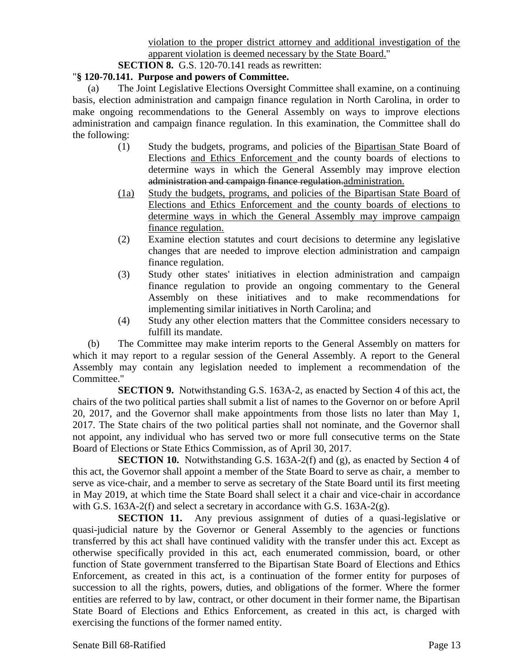**SECTION 8.** G.S. 120-70.141 reads as rewritten:

## "**§ 120-70.141. Purpose and powers of Committee.**

(a) The Joint Legislative Elections Oversight Committee shall examine, on a continuing basis, election administration and campaign finance regulation in North Carolina, in order to make ongoing recommendations to the General Assembly on ways to improve elections administration and campaign finance regulation. In this examination, the Committee shall do the following:

- (1) Study the budgets, programs, and policies of the Bipartisan State Board of Elections and Ethics Enforcement and the county boards of elections to determine ways in which the General Assembly may improve election administration and campaign finance regulation. administration.
- (1a) Study the budgets, programs, and policies of the Bipartisan State Board of Elections and Ethics Enforcement and the county boards of elections to determine ways in which the General Assembly may improve campaign finance regulation.
- (2) Examine election statutes and court decisions to determine any legislative changes that are needed to improve election administration and campaign finance regulation.
- (3) Study other states' initiatives in election administration and campaign finance regulation to provide an ongoing commentary to the General Assembly on these initiatives and to make recommendations for implementing similar initiatives in North Carolina; and
- (4) Study any other election matters that the Committee considers necessary to fulfill its mandate.

(b) The Committee may make interim reports to the General Assembly on matters for which it may report to a regular session of the General Assembly. A report to the General Assembly may contain any legislation needed to implement a recommendation of the Committee."

**SECTION 9.** Notwithstanding G.S. 163A-2, as enacted by Section 4 of this act, the chairs of the two political parties shall submit a list of names to the Governor on or before April 20, 2017, and the Governor shall make appointments from those lists no later than May 1, 2017. The State chairs of the two political parties shall not nominate, and the Governor shall not appoint, any individual who has served two or more full consecutive terms on the State Board of Elections or State Ethics Commission, as of April 30, 2017.

**SECTION 10.** Notwithstanding G.S. 163A-2(f) and (g), as enacted by Section 4 of this act, the Governor shall appoint a member of the State Board to serve as chair, a member to serve as vice-chair, and a member to serve as secretary of the State Board until its first meeting in May 2019, at which time the State Board shall select it a chair and vice-chair in accordance with G.S. 163A-2(f) and select a secretary in accordance with G.S. 163A-2(g).

**SECTION 11.** Any previous assignment of duties of a quasi-legislative or quasi-judicial nature by the Governor or General Assembly to the agencies or functions transferred by this act shall have continued validity with the transfer under this act. Except as otherwise specifically provided in this act, each enumerated commission, board, or other function of State government transferred to the Bipartisan State Board of Elections and Ethics Enforcement, as created in this act, is a continuation of the former entity for purposes of succession to all the rights, powers, duties, and obligations of the former. Where the former entities are referred to by law, contract, or other document in their former name, the Bipartisan State Board of Elections and Ethics Enforcement, as created in this act, is charged with exercising the functions of the former named entity.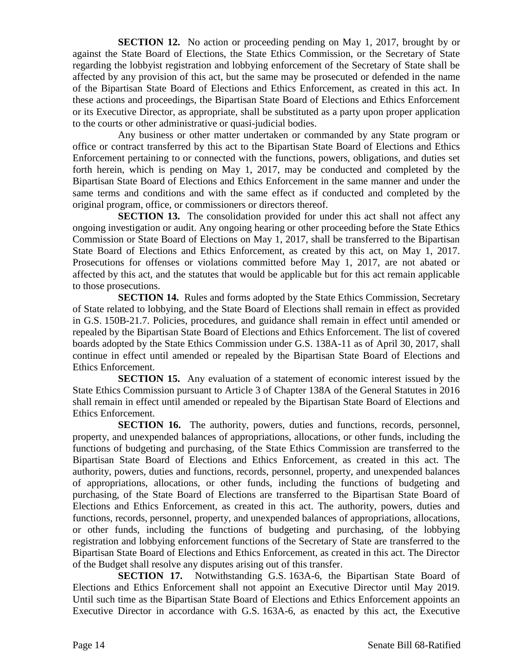**SECTION 12.** No action or proceeding pending on May 1, 2017, brought by or against the State Board of Elections, the State Ethics Commission, or the Secretary of State regarding the lobbyist registration and lobbying enforcement of the Secretary of State shall be affected by any provision of this act, but the same may be prosecuted or defended in the name of the Bipartisan State Board of Elections and Ethics Enforcement, as created in this act. In these actions and proceedings, the Bipartisan State Board of Elections and Ethics Enforcement or its Executive Director, as appropriate, shall be substituted as a party upon proper application to the courts or other administrative or quasi-judicial bodies.

Any business or other matter undertaken or commanded by any State program or office or contract transferred by this act to the Bipartisan State Board of Elections and Ethics Enforcement pertaining to or connected with the functions, powers, obligations, and duties set forth herein, which is pending on May 1, 2017, may be conducted and completed by the Bipartisan State Board of Elections and Ethics Enforcement in the same manner and under the same terms and conditions and with the same effect as if conducted and completed by the original program, office, or commissioners or directors thereof.

**SECTION 13.** The consolidation provided for under this act shall not affect any ongoing investigation or audit. Any ongoing hearing or other proceeding before the State Ethics Commission or State Board of Elections on May 1, 2017, shall be transferred to the Bipartisan State Board of Elections and Ethics Enforcement, as created by this act, on May 1, 2017. Prosecutions for offenses or violations committed before May 1, 2017, are not abated or affected by this act, and the statutes that would be applicable but for this act remain applicable to those prosecutions.

**SECTION 14.** Rules and forms adopted by the State Ethics Commission, Secretary of State related to lobbying, and the State Board of Elections shall remain in effect as provided in G.S. 150B-21.7. Policies, procedures, and guidance shall remain in effect until amended or repealed by the Bipartisan State Board of Elections and Ethics Enforcement. The list of covered boards adopted by the State Ethics Commission under G.S. 138A-11 as of April 30, 2017, shall continue in effect until amended or repealed by the Bipartisan State Board of Elections and Ethics Enforcement.

**SECTION 15.** Any evaluation of a statement of economic interest issued by the State Ethics Commission pursuant to Article 3 of Chapter 138A of the General Statutes in 2016 shall remain in effect until amended or repealed by the Bipartisan State Board of Elections and Ethics Enforcement.

**SECTION 16.** The authority, powers, duties and functions, records, personnel, property, and unexpended balances of appropriations, allocations, or other funds, including the functions of budgeting and purchasing, of the State Ethics Commission are transferred to the Bipartisan State Board of Elections and Ethics Enforcement, as created in this act. The authority, powers, duties and functions, records, personnel, property, and unexpended balances of appropriations, allocations, or other funds, including the functions of budgeting and purchasing, of the State Board of Elections are transferred to the Bipartisan State Board of Elections and Ethics Enforcement, as created in this act. The authority, powers, duties and functions, records, personnel, property, and unexpended balances of appropriations, allocations, or other funds, including the functions of budgeting and purchasing, of the lobbying registration and lobbying enforcement functions of the Secretary of State are transferred to the Bipartisan State Board of Elections and Ethics Enforcement, as created in this act. The Director of the Budget shall resolve any disputes arising out of this transfer.

**SECTION 17.** Notwithstanding G.S. 163A-6, the Bipartisan State Board of Elections and Ethics Enforcement shall not appoint an Executive Director until May 2019. Until such time as the Bipartisan State Board of Elections and Ethics Enforcement appoints an Executive Director in accordance with G.S. 163A-6, as enacted by this act, the Executive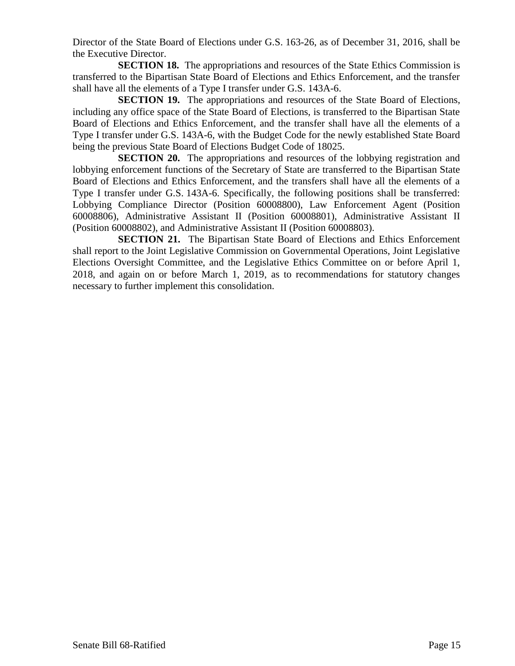Director of the State Board of Elections under G.S. 163-26, as of December 31, 2016, shall be the Executive Director.

**SECTION 18.** The appropriations and resources of the State Ethics Commission is transferred to the Bipartisan State Board of Elections and Ethics Enforcement, and the transfer shall have all the elements of a Type I transfer under G.S. 143A-6.

**SECTION 19.** The appropriations and resources of the State Board of Elections, including any office space of the State Board of Elections, is transferred to the Bipartisan State Board of Elections and Ethics Enforcement, and the transfer shall have all the elements of a Type I transfer under G.S. 143A-6, with the Budget Code for the newly established State Board being the previous State Board of Elections Budget Code of 18025.

**SECTION 20.** The appropriations and resources of the lobbying registration and lobbying enforcement functions of the Secretary of State are transferred to the Bipartisan State Board of Elections and Ethics Enforcement, and the transfers shall have all the elements of a Type I transfer under G.S. 143A-6. Specifically, the following positions shall be transferred: Lobbying Compliance Director (Position 60008800), Law Enforcement Agent (Position 60008806), Administrative Assistant II (Position 60008801), Administrative Assistant II (Position 60008802), and Administrative Assistant II (Position 60008803).

**SECTION 21.** The Bipartisan State Board of Elections and Ethics Enforcement shall report to the Joint Legislative Commission on Governmental Operations, Joint Legislative Elections Oversight Committee, and the Legislative Ethics Committee on or before April 1, 2018, and again on or before March 1, 2019, as to recommendations for statutory changes necessary to further implement this consolidation.